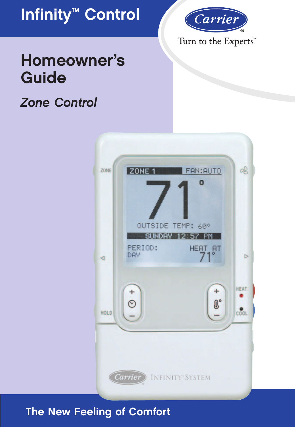



### Turn to the Experts.

# **Homeowner's Guide**

### *Zone Control*



### **The New Feeling of Comfort**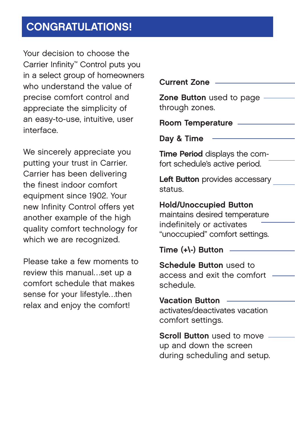### **CONGRATULATIONS!**

Your decision to choose the Carrier Infinity™ Control puts you in a select group of homeowners who understand the value of precise comfort control and appreciate the simplicity of an easy-to-use, intuitive, user interface.

We sincerely appreciate you putting your trust in Carrier. Carrier has been delivering the finest indoor comfort equipment since 1902. Your new Infinity Control offers yet another example of the high quality comfort technology for which we are recognized.

Please take a few moments to review this manual…set up a comfort schedule that makes sense for your lifestyle…then relax and enjoy the comfort!

| <b>Current Zone</b>                                                                                                           |
|-------------------------------------------------------------------------------------------------------------------------------|
| Zone Button used to page<br>through zones.                                                                                    |
| <b>Room Temperature</b>                                                                                                       |
| Day & Time                                                                                                                    |
| Time Period displays the com-<br>fort schedule's active period.                                                               |
| <b>Left Button</b> provides accessary<br>status.                                                                              |
| <b>Hold/Unoccupied Button</b><br>maintains desired temperature<br>indefinitely or activates<br>"unoccupied" comfort settings. |
| Time $(+)$ -) Button                                                                                                          |
| <b>Schedule Button used to</b><br>access and exit the comfort<br>schedule.                                                    |
| <b>Vacation Button</b><br>activates/deactivates vacation<br>comfort settings.                                                 |
| <b>Scroll Button</b> used to move<br>up and down the screen                                                                   |

during scheduling and setup.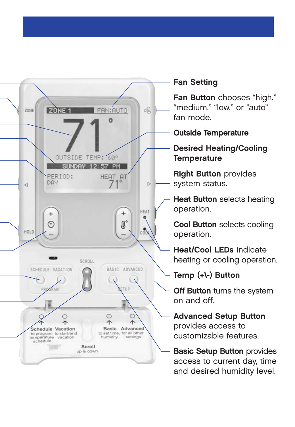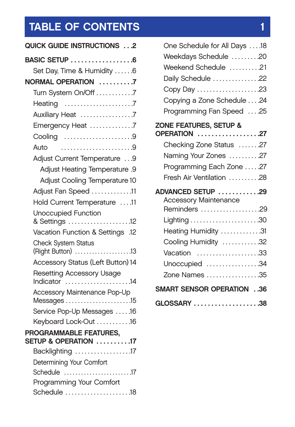# **TABLE OF CONTENTS** 1

| QUICK GUIDE INSTRUCTIONS 2                      |  |  |  |  |  |
|-------------------------------------------------|--|--|--|--|--|
| BASIC SETUP 6                                   |  |  |  |  |  |
| Set Day, Time & Humidity 6                      |  |  |  |  |  |
| NORMAL OPERATION 7                              |  |  |  |  |  |
| Turn System On/Off 7                            |  |  |  |  |  |
|                                                 |  |  |  |  |  |
| Auxiliary Heat 7                                |  |  |  |  |  |
| Emergency Heat 7                                |  |  |  |  |  |
| Cooling 9                                       |  |  |  |  |  |
| Auto                                            |  |  |  |  |  |
| Adjust Current Temperature 9                    |  |  |  |  |  |
| Adjust Heating Temperature .9                   |  |  |  |  |  |
| Adjust Cooling Temperature 10                   |  |  |  |  |  |
| Adjust Fan Speed 11                             |  |  |  |  |  |
| Hold Current Temperature 11                     |  |  |  |  |  |
| Unoccupied Function<br>& Settings 12            |  |  |  |  |  |
| Vacation Function & Settings .12                |  |  |  |  |  |
| <b>Check System Status</b><br>(Right Button) 13 |  |  |  |  |  |
| Accessory Status (Left Button) 14               |  |  |  |  |  |
| Resetting Accessory Usage<br>Indicator 14       |  |  |  |  |  |
| Accessory Maintenance Pop-Up                    |  |  |  |  |  |
| $M$ essages $\ldots$ 15                         |  |  |  |  |  |
| Service Pop-Up Messages 16                      |  |  |  |  |  |
| Keyboard Lock-Out 16                            |  |  |  |  |  |
| PROGRAMMABLE FEATURES,<br>SETUP & OPERATION 17  |  |  |  |  |  |
| Backlighting 17                                 |  |  |  |  |  |
| Determining Your Comfort                        |  |  |  |  |  |
| Schedule 17                                     |  |  |  |  |  |
| Programming Your Comfort                        |  |  |  |  |  |
| Schedule 18                                     |  |  |  |  |  |

| One Schedule for All Days 18     |  |
|----------------------------------|--|
| Weekdays Schedule 20             |  |
| Weekend Schedule 21              |  |
| Daily Schedule 22                |  |
| Copy Day 23                      |  |
| Copying a Zone Schedule 24       |  |
| Programming Fan Speed  .25       |  |
| ZONE FEATURES, SETUP &           |  |
| <b>OPERATION</b> 27              |  |
| Checking Zone Status 27          |  |
| Naming Your Zones 27             |  |
| Programming Each Zone 27         |  |
| Fresh Air Ventilation 28         |  |
| ADVANCED SETUP 29                |  |
| Accessory Maintenance            |  |
| Reminders 29                     |  |
|                                  |  |
| Heating Humidity 31              |  |
| Cooling Humidity 32              |  |
| Vacation 33                      |  |
| Unoccupied 34                    |  |
| Zone Names 35                    |  |
| <b>SMART SENSOR OPERATION 36</b> |  |
| GLOSSARY 38                      |  |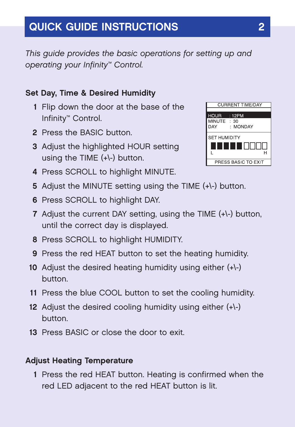### **QUICK GUIDE INSTRUCTIONS 2**

*This guide provides the basic operations for setting up and operating your Infinity™ Control.*

#### **Set Day, Time & Desired Humidity**

- **1** Flip down the door at the base of the Infinity™ Control.
- **2** Press the BASIC button.
- **3** Adjust the highlighted HOUR setting using the TIME (+\-) button.
- **4** Press SCROLL to highlight MINUTE.
- **5** Adjust the MINUTE setting using the TIME (+\-) button.
- **6** Press SCROLL to highlight DAY.
- **7** Adjust the current DAY setting, using the TIME (+\-) button, until the correct day is displayed.
- **8** Press SCROLL to highlight HUMIDITY.
- **9** Press the red HEAT button to set the heating humidity.
- **10** Adjust the desired heating humidity using either (+\-) button.
- **11** Press the blue COOL button to set the cooling humidity.
- **12** Adjust the desired cooling humidity using either (+\-) button.
- **13** Press BASIC or close the door to exit.

#### **Adjust Heating Temperature**

**1** Press the red HEAT button. Heating is confirmed when the red LED adjacent to the red HEAT button is lit.

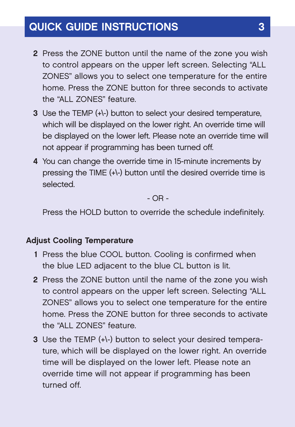### **QUICK GUIDE INSTRUCTIONS 3**

- **2** Press the ZONE button until the name of the zone you wish to control appears on the upper left screen. Selecting "ALL ZONES" allows you to select one temperature for the entire home. Press the ZONE button for three seconds to activate the "ALL ZONES" feature.
- **3** Use the TEMP (+\-) button to select your desired temperature, which will be displayed on the lower right. An override time will be displayed on the lower left. Please note an override time will not appear if programming has been turned off.
- **4** You can change the override time in 15-minute increments by pressing the TIME (+\-) button until the desired override time is selected.

- OR -

Press the HOLD button to override the schedule indefinitely.

#### **Adjust Cooling Temperature**

- **1** Press the blue COOL button. Cooling is confirmed when the blue LED adjacent to the blue CL button is lit.
- **2** Press the ZONE button until the name of the zone you wish to control appears on the upper left screen. Selecting "ALL ZONES" allows you to select one temperature for the entire home. Press the ZONE button for three seconds to activate the "ALL ZONES" feature.
- **3** Use the TEMP (+\-) button to select your desired temperature, which will be displayed on the lower right. An override time will be displayed on the lower left. Please note an override time will not appear if programming has been turned off.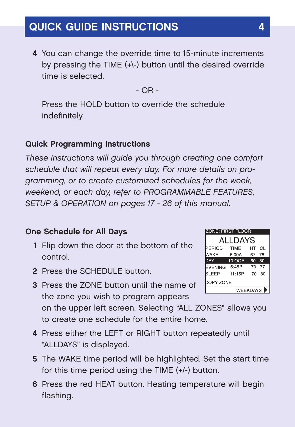**4** You can change the override time to 15-minute increments by pressing the TIME (+\-) button until the desired override time is selected.

- OR -

Press the HOLD button to override the schedule indefinitely.

### **Quick Programming Instructions**

*These instructions will guide you through creating one comfort schedule that will repeat every day. For more details on programming, or to create customized schedules for the week, weekend, or each day, refer to PROGRAMMABLE FEATURES, SETUP & OPERATION on pages 17 - 26 of this manual.* 

#### **One Schedule for All Days**

- **1** Flip down the door at the bottom of the control.
- **2** Press the SCHEDULE button.
- **3** Press the ZONE button until the name of the zone you wish to program appears

on the upper left screen. Selecting "ALL ZONES" allows you to create one schedule for the entire home.

- **4** Press either the LEFT or RIGHT button repeatedly until "ALLDAYS" is displayed.
- **5** The WAKE time period will be highlighted. Set the start time for this time period using the TIME (+/-) button.
- **6** Press the red HEAT button. Heating temperature will begin flashing.

| <b>ZONE: FIRST FLOOR</b> |             |    |           |  |  |  |
|--------------------------|-------------|----|-----------|--|--|--|
| ALLDAYS                  |             |    |           |  |  |  |
| <b>ERIOD</b>             | <b>TIME</b> | HТ | <b>CL</b> |  |  |  |
| NAKE                     | 6:00A       | 67 | 78        |  |  |  |
| DAY                      | 10:OOA      | 60 | 80        |  |  |  |
| <b>EVENING</b>           | 6:45P       | 70 | 77        |  |  |  |
| <b>SLEEP</b>             | 11:15P      | 70 | 80        |  |  |  |
| COPY ZONE                |             |    |           |  |  |  |
| WEEKDAYS <sup>&gt;</sup> |             |    |           |  |  |  |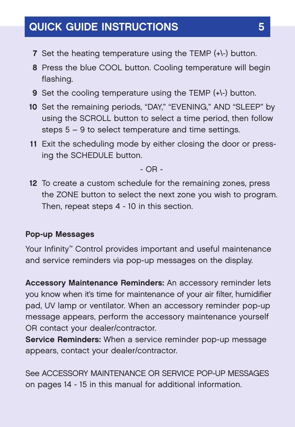### **QUICK GUIDE INSTRUCTIONS 5**

- **7** Set the heating temperature using the TEMP (+\-) button.
- **8** Press the blue COOL button. Cooling temperature will begin flashing.
- **9** Set the cooling temperature using the TEMP (+\-) button.
- **10** Set the remaining periods, "DAY," "EVENING," AND "SLEEP" by using the SCROLL button to select a time period, then follow steps 5 – 9 to select temperature and time settings.
- **11** Exit the scheduling mode by either closing the door or pressing the SCHEDULE button.

- OR -

**12** To create a custom schedule for the remaining zones, press the ZONE button to select the next zone you wish to program. Then, repeat steps 4 - 10 in this section.

#### **Pop-up Messages**

Your Infinity™ Control provides important and useful maintenance and service reminders via pop-up messages on the display.

**Accessory Maintenance Reminders:** An accessory reminder lets you know when it's time for maintenance of your air filter, humidifier pad, UV lamp or ventilator. When an accessory reminder pop-up message appears, perform the accessory maintenance yourself OR contact your dealer/contractor.

**Service Reminders:** When a service reminder pop-up message appears, contact your dealer/contractor.

See ACCESSORY MAINTENANCE OR SERVICE POP-UP MESSAGES on pages 14 - 15 in this manual for additional information.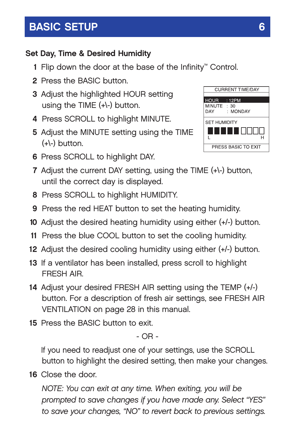### **BASIC SETUP** 6

### **Set Day, Time & Desired Humidity**

- **1** Flip down the door at the base of the Infinity™ Control.
- **2** Press the BASIC button.
- **3** Adjust the highlighted HOUR setting using the TIME (+\-) button.
- **4** Press SCROLL to highlight MINUTE.
- **5** Adjust the MINUTE setting using the TIME  $(+\)$  button.
- **6** Press SCROLL to highlight DAY.



- **7** Adjust the current DAY setting, using the TIME (+\-) button, until the correct day is displayed.
- **8** Press SCROLL to highlight HUMIDITY.
- **9** Press the red HEAT button to set the heating humidity.
- **10** Adjust the desired heating humidity using either (+/-) button.
- **11** Press the blue COOL button to set the cooling humidity.
- **12** Adjust the desired cooling humidity using either (+/-) button.
- **13** If a ventilator has been installed, press scroll to highlight FRESH AIR.
- **14** Adjust your desired FRESH AIR setting using the TEMP (+/-) button. For a description of fresh air settings, see FRESH AIR VENTILATION on page 28 in this manual.
- **15** Press the BASIC button to exit.

- OR -

If you need to readjust one of your settings, use the SCROLL button to highlight the desired setting, then make your changes.

**16** Close the door.

*NOTE: You can exit at any time. When exiting, you will be prompted to save changes if you have made any. Select "YES" to save your changes, "NO" to revert back to previous settings.*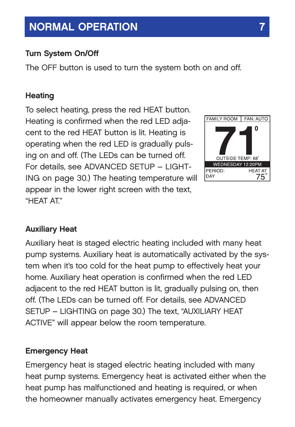#### **Turn System On/Off**

The OFF button is used to turn the system both on and off.

#### **Heating**

To select heating, press the red HEAT button. Heating is confirmed when the red LED adjacent to the red HEAT button is lit. Heating is operating when the red LED is gradually pulsing on and off. (The LEDs can be turned off. For details, see ADVANCED SETUP – LIGHT-ING on page 30.) The heating temperature will appear in the lower right screen with the text, "HFAT AT"



#### **Auxiliary Heat**

Auxiliary heat is staged electric heating included with many heat pump systems. Auxiliary heat is automatically activated by the system when it's too cold for the heat pump to effectively heat your home. Auxiliary heat operation is confirmed when the red LED adjacent to the red HEAT button is lit, gradually pulsing on, then off. (The LEDs can be turned off. For details, see ADVANCED SETUP – LIGHTING on page 30.) The text, "AUXILIARY HEAT ACTIVE" will appear below the room temperature.

#### **Emergency Heat**

Emergency heat is staged electric heating included with many heat pump systems. Emergency heat is activated either when the heat pump has malfunctioned and heating is required, or when the homeowner manually activates emergency heat. Emergency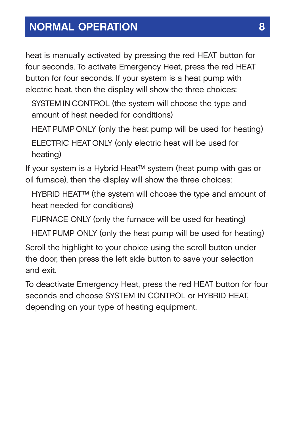heat is manually activated by pressing the red HEAT button for four seconds. To activate Emergency Heat, press the red HEAT button for four seconds. If your system is a heat pump with electric heat, then the display will show the three choices:

SYSTEM IN CONTROL (the system will choose the type and amount of heat needed for conditions)

HEAT PUMP ONLY (only the heat pump will be used for heating) ELECTRIC HEAT ONLY (only electric heat will be used for heating)

If your system is a Hybrid Heat™ system (heat pump with gas or oil furnace), then the display will show the three choices:

HYBRID HEAT™ (the system will choose the type and amount of heat needed for conditions)

FURNACE ONLY (only the furnace will be used for heating)

HEAT PUMP ONLY (only the heat pump will be used for heating)

Scroll the highlight to your choice using the scroll button under the door, then press the left side button to save your selection and exit.

To deactivate Emergency Heat, press the red HEAT button for four seconds and choose SYSTEM IN CONTROL or HYBRID HEAT, depending on your type of heating equipment.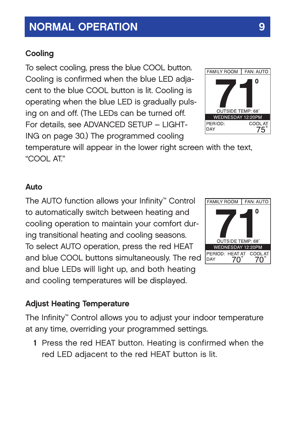### **Cooling**

To select cooling, press the blue COOL button. Cooling is confirmed when the blue LED adjacent to the blue COOL button is lit. Cooling is operating when the blue LED is gradually pulsing on and off. (The LEDs can be turned off. For details, see ADVANCED SETUP – LIGHT-ING on page 30.) The programmed cooling

temperature will appear in the lower right screen with the text, "COOL AT."

#### **Auto**

The AUTO function allows your Infinity™ Control to automatically switch between heating and cooling operation to maintain your comfort during transitional heating and cooling seasons. To select AUTO operation, press the red HEAT and blue COOL buttons simultaneously. The red and blue LEDs will light up, and both heating and cooling temperatures will be displayed.

#### **Adjust Heating Temperature**

The Infinity™ Control allows you to adjust your indoor temperature at any time, overriding your programmed settings.

**1** Press the red HEAT button. Heating is confirmed when the red LED adjacent to the red HEAT button is lit.



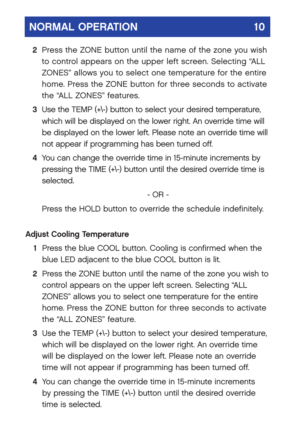- **2** Press the ZONE button until the name of the zone you wish to control appears on the upper left screen. Selecting "ALL ZONES" allows you to select one temperature for the entire home. Press the ZONE button for three seconds to activate the "ALL ZONES" features.
- **3** Use the TEMP (+\-) button to select your desired temperature, which will be displayed on the lower right. An override time will be displayed on the lower left. Please note an override time will not appear if programming has been turned off.
- **4** You can change the override time in 15-minute increments by pressing the TIME (+\-) button until the desired override time is selected.

- OR -

Press the HOLD button to override the schedule indefinitely.

#### **Adjust Cooling Temperature**

- **1** Press the blue COOL button. Cooling is confirmed when the blue LED adjacent to the blue COOL button is lit.
- **2** Press the ZONE button until the name of the zone you wish to control appears on the upper left screen. Selecting "ALL ZONES" allows you to select one temperature for the entire home. Press the ZONE button for three seconds to activate the "ALL ZONES" feature.
- **3** Use the TEMP (+\-) button to select your desired temperature, which will be displayed on the lower right. An override time will be displayed on the lower left. Please note an override time will not appear if programming has been turned off.
- **4** You can change the override time in 15-minute increments by pressing the TIME (+\-) button until the desired override time is selected.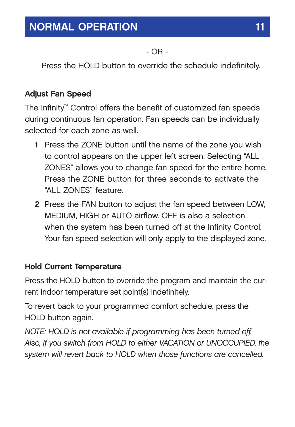- OR -

Press the HOLD button to override the schedule indefinitely.

### **Adjust Fan Speed**

The Infinity™ Control offers the benefit of customized fan speeds during continuous fan operation. Fan speeds can be individually selected for each zone as well.

- **1** Press the ZONE button until the name of the zone you wish to control appears on the upper left screen. Selecting "ALL ZONES" allows you to change fan speed for the entire home. Press the ZONE button for three seconds to activate the "ALL ZONES" feature.
- **2** Press the FAN button to adjust the fan speed between LOW, MEDIUM, HIGH or AUTO airflow. OFF is also a selection when the system has been turned off at the Infinity Control. Your fan speed selection will only apply to the displayed zone.

#### **Hold Current Temperature**

Press the HOLD button to override the program and maintain the current indoor temperature set point(s) indefinitely.

To revert back to your programmed comfort schedule, press the HOLD button again.

*NOTE: HOLD is not available if programming has been turned off. Also, if you switch from HOLD to either VACATION or UNOCCUPIED, the system will revert back to HOLD when those functions are cancelled.*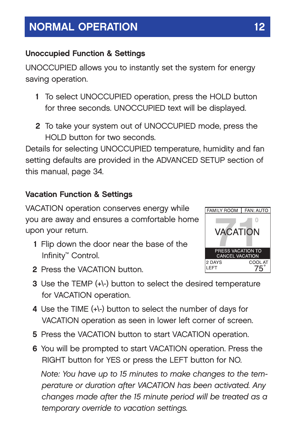### **Unoccupied Function & Settings**

UNOCCUPIED allows you to instantly set the system for energy saving operation.

- **1** To select UNOCCUPIED operation, press the HOLD button for three seconds. UNOCCUPIED text will be displayed.
- **2** To take your system out of UNOCCUPIED mode, press the HOLD button for two seconds.

Details for selecting UNOCCUPIED temperature, humidity and fan setting defaults are provided in the ADVANCED SETUP section of this manual, page 34.

### **Vacation Function & Settings**

VACATION operation conserves energy while you are away and ensures a comfortable home upon your return.

**1** Flip down the door near the base of the Infinity™ Control.



- **2** Press the VACATION button.
- **3** Use the TEMP (+\-) button to select the desired temperature for VACATION operation.
- **4** Use the TIME (+\-) button to select the number of days for VACATION operation as seen in lower left corner of screen.
- **5** Press the VACATION button to start VACATION operation.
- **6** You will be prompted to start VACATION operation. Press the RIGHT button for YES or press the LEFT button for NO.

*Note: You have up to 15 minutes to make changes to the temperature or duration after VACATION has been activated. Any changes made after the 15 minute period will be treated as a temporary override to vacation settings.*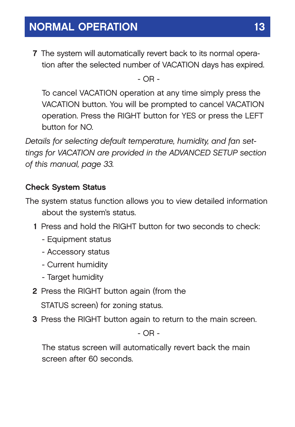**7** The system will automatically revert back to its normal operation after the selected number of VACATION days has expired.

- OR -

To cancel VACATION operation at any time simply press the VACATION button. You will be prompted to cancel VACATION operation. Press the RIGHT button for YES or press the LEFT button for NO.

*Details for selecting default temperature, humidity, and fan settings for VACATION are provided in the ADVANCED SETUP section of this manual, page 33.*

### **Check System Status**

- The system status function allows you to view detailed information about the system's status.
	- **1** Press and hold the RIGHT button for two seconds to check:
		- Equipment status
		- Accessory status
		- Current humidity
		- Target humidity
	- **2** Press the RIGHT button again (from the STATUS screen) for zoning status.
	- **3** Press the RIGHT button again to return to the main screen.

- OR -

The status screen will automatically revert back the main screen after 60 seconds.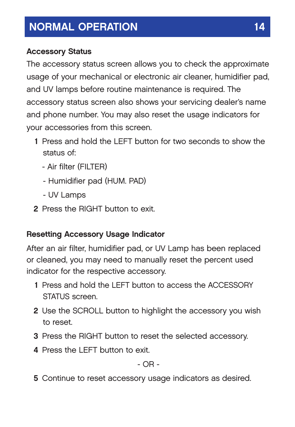### **Accessory Status**

The accessory status screen allows you to check the approximate usage of your mechanical or electronic air cleaner, humidifier pad, and UV lamps before routine maintenance is required. The accessory status screen also shows your servicing dealer's name and phone number. You may also reset the usage indicators for your accessories from this screen.

- **1** Press and hold the LEFT button for two seconds to show the status of:
	- Air filter (FILTER)
	- Humidifier pad (HUM. PAD)
	- UV Lamps
- **2** Press the RIGHT button to exit.

### **Resetting Accessory Usage Indicator**

After an air filter, humidifier pad, or UV Lamp has been replaced or cleaned, you may need to manually reset the percent used indicator for the respective accessory.

- **1** Press and hold the LEFT button to access the ACCESSORY STATUS screen.
- **2** Use the SCROLL button to highlight the accessory you wish to reset.
- **3** Press the RIGHT button to reset the selected accessory.
- **4** Press the LEFT button to exit.

- OR -

**5** Continue to reset accessory usage indicators as desired.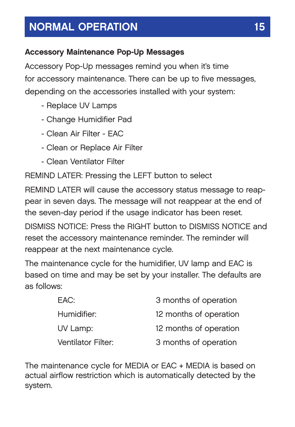### **Accessory Maintenance Pop-Up Messages**

Accessory Pop-Up messages remind you when it's time for accessory maintenance. There can be up to five messages, depending on the accessories installed with your system:

- Replace UV Lamps
- Change Humidifier Pad
- Clean Air Filter EAC
- Clean or Replace Air Filter
- Clean Ventilator Filter

REMIND LATER: Pressing the LEFT button to select

REMIND LATER will cause the accessory status message to reappear in seven days. The message will not reappear at the end of the seven-day period if the usage indicator has been reset. DISMISS NOTICE: Press the RIGHT button to DISMISS NOTICE and reset the accessory maintenance reminder. The reminder will reappear at the next maintenance cycle.

The maintenance cycle for the humidifier, UV lamp and EAC is based on time and may be set by your installer. The defaults are as follows:

| FAC:               | 3 months of operation  |
|--------------------|------------------------|
| Humidifier:        | 12 months of operation |
| UV Lamp:           | 12 months of operation |
| Ventilator Filter: | 3 months of operation  |

The maintenance cycle for MEDIA or EAC + MEDIA is based on actual airflow restriction which is automatically detected by the system.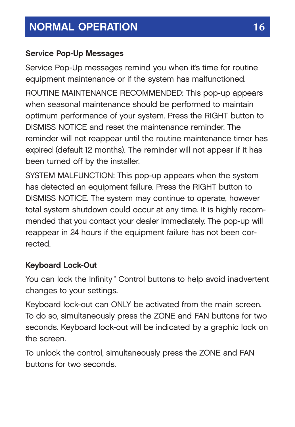### **Service Pop-Up Messages**

Service Pop-Up messages remind you when it's time for routine equipment maintenance or if the system has malfunctioned.

ROUTINE MAINTENANCE RECOMMENDED: This pop-up appears when seasonal maintenance should be performed to maintain optimum performance of your system. Press the RIGHT button to DISMISS NOTICE and reset the maintenance reminder. The reminder will not reappear until the routine maintenance timer has expired (default 12 months). The reminder will not appear if it has been turned off by the installer.

SYSTEM MALFUNCTION: This pop-up appears when the system has detected an equipment failure. Press the RIGHT button to DISMISS NOTICE. The system may continue to operate, however total system shutdown could occur at any time. It is highly recommended that you contact your dealer immediately. The pop-up will reappear in 24 hours if the equipment failure has not been corrected.

### **Keyboard Lock-Out**

You can lock the Infinity™ Control buttons to help avoid inadvertent changes to your settings.

Keyboard lock-out can ONLY be activated from the main screen. To do so, simultaneously press the ZONE and FAN buttons for two seconds. Keyboard lock-out will be indicated by a graphic lock on the screen.

To unlock the control, simultaneously press the ZONE and FAN buttons for two seconds.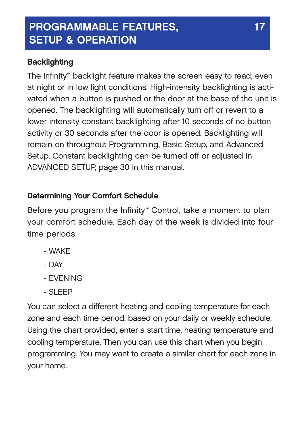### **PROGRAMMABLE FEATURES, 17** 17 **SETUP & OPERATION**

### **Backlighting**

The Infinity™ backlight feature makes the screen easy to read, even at night or in low light conditions. High-intensity backlighting is activated when a button is pushed or the door at the base of the unit is opened. The backlighting will automatically turn off or revert to a lower intensity constant backlighting after 10 seconds of no button activity or 30 seconds after the door is opened. Backlighting will remain on throughout Programming, Basic Setup, and Advanced Setup. Constant backlighting can be turned off or adjusted in ADVANCED SETUP, page 30 in this manual.

### **Determining Your Comfort Schedule**

Before you program the Infinity™ Control, take a moment to plan your comfort schedule. Each day of the week is divided into four time periods:

- WAKE
- DAY
- EVENING
- SLEEP

You can select a different heating and cooling temperature for each zone and each time period, based on your daily or weekly schedule. Using the chart provided, enter a start time, heating temperature and cooling temperature. Then you can use this chart when you begin programming. You may want to create a similar chart for each zone in your home.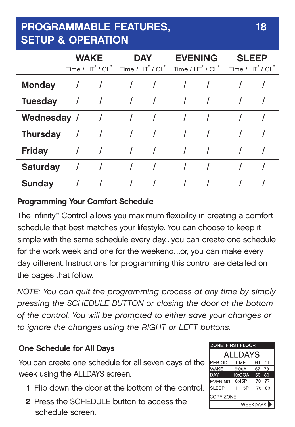### **PROGRAMMABLE FEATURES, 18 SETUP & OPERATION**

|                 | <b>WAKE</b> | $Time / HT^{\circ} / CI^{\circ}$ Time $/ HT^{\circ} / CI^{\circ}$ | <b>DAY</b> | <b>EVENING</b><br>$Time / HT^{\circ} / CI^{\circ}$ | <b>SLEEP</b><br>Time / HT / CL |  |
|-----------------|-------------|-------------------------------------------------------------------|------------|----------------------------------------------------|--------------------------------|--|
| <b>Monday</b>   |             |                                                                   |            |                                                    |                                |  |
| <b>Tuesday</b>  |             |                                                                   |            |                                                    |                                |  |
| Wednesday /     |             |                                                                   |            |                                                    |                                |  |
| <b>Thursday</b> |             |                                                                   |            |                                                    |                                |  |
| Friday          |             |                                                                   |            |                                                    |                                |  |
| <b>Saturday</b> |             |                                                                   |            |                                                    |                                |  |
| Sunday          |             |                                                                   |            |                                                    |                                |  |

### **Programming Your Comfort Schedule**

The Infinity™ Control allows you maximum flexibility in creating a comfort schedule that best matches your lifestyle. You can choose to keep it simple with the same schedule every day…you can create one schedule for the work week and one for the weekend…or, you can make every day different. Instructions for programming this control are detailed on the pages that follow.

*NOTE: You can quit the programming process at any time by simply pressing the SCHEDULE BUTTON or closing the door at the bottom of the control. You will be prompted to either save your changes or to ignore the changes using the RIGHT or LEFT buttons.*

### **One Schedule for All Days**

You can create one schedule for all seven days of the week using the ALLDAYS screen.

- **1** Flip down the door at the bottom of the control.
- **2** Press the SCHEDULE button to access the schedule screen.

| <b>ZONE: FIRST FLOOR</b><br>ALLDAYS          |        |    |      |  |  |  |
|----------------------------------------------|--------|----|------|--|--|--|
|                                              |        |    |      |  |  |  |
| WAKE                                         | 6:00A  | 67 | 78   |  |  |  |
| DAY                                          | 10:00A | 60 | 80   |  |  |  |
| <b>EVENING</b>                               | 6:45P  | 70 | - 77 |  |  |  |
| SLEEP                                        | 11:15P | 70 | 80   |  |  |  |
| <b>COPY ZONE</b><br>WEEKDAYS <sup>&gt;</sup> |        |    |      |  |  |  |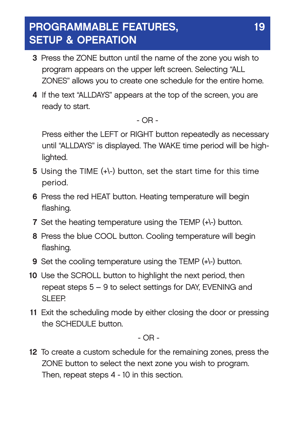### **PROGRAMMABLE FEATURES, 1999 SETUP & OPERATION**

- **3** Press the ZONE button until the name of the zone you wish to program appears on the upper left screen. Selecting "ALL ZONES" allows you to create one schedule for the entire home.
- **4** If the text "ALLDAYS" appears at the top of the screen, you are ready to start.

#### - OR -

Press either the LEFT or RIGHT button repeatedly as necessary until "ALLDAYS" is displayed. The WAKE time period will be highlighted.

- **5** Using the TIME (+\-) button, set the start time for this time period.
- **6** Press the red HEAT button. Heating temperature will begin flashing.
- **7** Set the heating temperature using the TEMP (+\-) button.
- **8** Press the blue COOL button. Cooling temperature will begin flashing.
- **9** Set the cooling temperature using the TEMP (+\-) button.
- **10** Use the SCROLL button to highlight the next period, then repeat steps 5 – 9 to select settings for DAY, EVENING and SLEEP.
- **11** Exit the scheduling mode by either closing the door or pressing the SCHEDULE button.

- OR -

**12** To create a custom schedule for the remaining zones, press the ZONE button to select the next zone you wish to program. Then, repeat steps 4 - 10 in this section.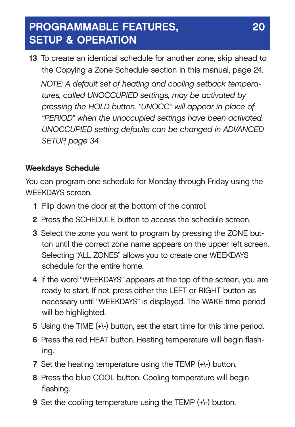### **PROGRAMMABLE FEATURES, 20 SETUP & OPERATION**

**13** To create an identical schedule for another zone, skip ahead to the Copying a Zone Schedule section in this manual, page 24. *NOTE: A default set of heating and cooling setback temperatures, called UNOCCUPIED settings, may be activated by pressing the HOLD button. "UNOCC" will appear in place of "PERIOD" when the unoccupied settings have been activated. UNOCCUPIED setting defaults can be changed in ADVANCED SETUP, page 34.*

### **Weekdays Schedule**

You can program one schedule for Monday through Friday using the WEEKDAYS screen.

- **1** Flip down the door at the bottom of the control.
- **2** Press the SCHEDULE button to access the schedule screen.
- **3** Select the zone you want to program by pressing the ZONE button until the correct zone name appears on the upper left screen. Selecting "ALL ZONES" allows you to create one WEEKDAYS schedule for the entire home.
- **4** If the word "WEEKDAYS" appears at the top of the screen, you are ready to start. If not, press either the LEFT or RIGHT button as necessary until "WEEKDAYS" is displayed. The WAKE time period will be highlighted.
- **5** Using the TIME (+\-) button, set the start time for this time period.
- **6** Press the red HEAT button. Heating temperature will begin flashing.
- **7** Set the heating temperature using the TEMP (+\-) button.
- **8** Press the blue COOL button. Cooling temperature will begin flashing.
- **9** Set the cooling temperature using the TEMP (+\-) button.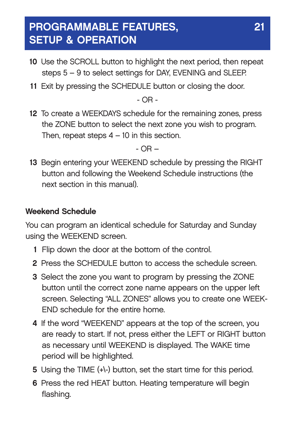### **PROGRAMMABLE FEATURES, 21 SETUP & OPERATION**

- **10** Use the SCROLL button to highlight the next period, then repeat steps 5 – 9 to select settings for DAY, EVENING and SLEEP.
- **11** Exit by pressing the SCHEDULE button or closing the door.

- OR -

**12** To create a WEEKDAYS schedule for the remaining zones, press the ZONE button to select the next zone you wish to program. Then, repeat steps  $4 - 10$  in this section.

- OR –

**13** Begin entering your WEEKEND schedule by pressing the RIGHT button and following the Weekend Schedule instructions (the next section in this manual).

### **Weekend Schedule**

You can program an identical schedule for Saturday and Sunday using the WEEKEND screen.

- **1** Flip down the door at the bottom of the control.
- **2** Press the SCHEDULE button to access the schedule screen.
- **3** Select the zone you want to program by pressing the ZONE button until the correct zone name appears on the upper left screen. Selecting "ALL ZONES" allows you to create one WEEK-END schedule for the entire home.
- **4** If the word "WEEKEND" appears at the top of the screen, you are ready to start. If not, press either the LEFT or RIGHT button as necessary until WEEKEND is displayed. The WAKE time period will be highlighted.
- **5** Using the TIME (+\-) button, set the start time for this period.
- **6** Press the red HEAT button. Heating temperature will begin flashing.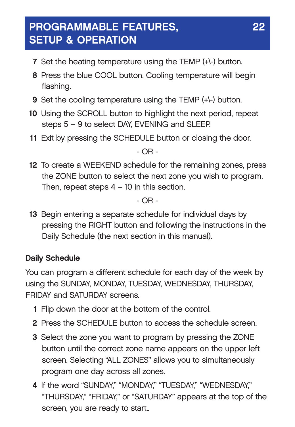### **PROGRAMMABLE FEATURES, 22 SETUP & OPERATION**

- **7** Set the heating temperature using the TEMP (+\-) button.
- **8** Press the blue COOL button. Cooling temperature will begin flashing.
- **9** Set the cooling temperature using the TEMP (+\-) button.
- **10** Using the SCROLL button to highlight the next period, repeat steps 5 – 9 to select DAY, EVENING and SLEEP.
- **11** Exit by pressing the SCHEDULE button or closing the door.

- OR -

**12** To create a WEEKEND schedule for the remaining zones, press the ZONE button to select the next zone you wish to program. Then, repeat steps  $4 - 10$  in this section.

 $-$  OR  $-$ 

**13** Begin entering a separate schedule for individual days by pressing the RIGHT button and following the instructions in the Daily Schedule (the next section in this manual).

### **Daily Schedule**

You can program a different schedule for each day of the week by using the SUNDAY, MONDAY, TUESDAY, WEDNESDAY, THURSDAY, FRIDAY and SATURDAY screens.

- **1** Flip down the door at the bottom of the control.
- **2** Press the SCHEDULE button to access the schedule screen.
- **3** Select the zone you want to program by pressing the ZONE button until the correct zone name appears on the upper left screen. Selecting "ALL ZONES" allows you to simultaneously program one day across all zones.
- **4** If the word "SUNDAY," "MONDAY," "TUESDAY," "WEDNESDAY," "THURSDAY," "FRIDAY," or "SATURDAY" appears at the top of the screen, you are ready to start..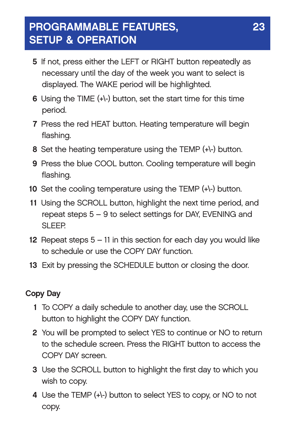### **PROGRAMMABLE FEATURES, 23 SETUP & OPERATION**

- **5** If not, press either the LEFT or RIGHT button repeatedly as necessary until the day of the week you want to select is displayed. The WAKE period will be highlighted.
- **6** Using the TIME (+\-) button, set the start time for this time period.
- **7** Press the red HEAT button. Heating temperature will begin flashing.
- **8** Set the heating temperature using the TEMP (+\-) button.
- **9** Press the blue COOL button. Cooling temperature will begin flashing.
- **10** Set the cooling temperature using the TEMP (+\-) button.
- **11** Using the SCROLL button, highlight the next time period, and repeat steps 5 – 9 to select settings for DAY, EVENING and SLEEP.
- **12** Repeat steps 5 11 in this section for each day you would like to schedule or use the COPY DAY function.
- **13** Exit by pressing the SCHEDULE button or closing the door.

#### **Copy Day**

- **1** To COPY a daily schedule to another day, use the SCROLL button to highlight the COPY DAY function.
- **2** You will be prompted to select YES to continue or NO to return to the schedule screen. Press the RIGHT button to access the COPY DAY screen.
- **3** Use the SCROLL button to highlight the first day to which you wish to copy.
- **4** Use the TEMP (+\-) button to select YES to copy, or NO to not copy.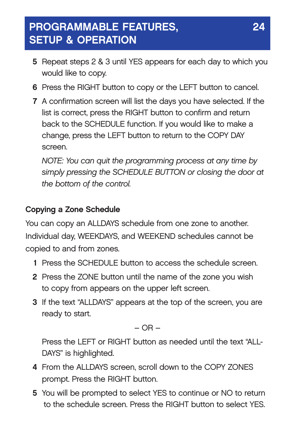### **PROGRAMMABLE FEATURES, 24 SETUP & OPERATION**

- **5** Repeat steps 2 & 3 until YES appears for each day to which you would like to copy.
- **6** Press the RIGHT button to copy or the LEFT button to cancel.
- **7** A confirmation screen will list the days you have selected. If the list is correct, press the RIGHT button to confirm and return back to the SCHEDULE function. If you would like to make a change, press the LEFT button to return to the COPY DAY screen.

*NOTE: You can quit the programming process at any time by simply pressing the SCHEDULE BUTTON or closing the door at the bottom of the control.* 

### **Copying a Zone Schedule**

You can copy an ALLDAYS schedule from one zone to another. Individual day, WEEKDAYS, and WEEKEND schedules cannot be copied to and from zones.

- **1** Press the SCHEDULE button to access the schedule screen.
- **2** Press the ZONE button until the name of the zone you wish to copy from appears on the upper left screen.
- **3** If the text "ALLDAYS" appears at the top of the screen, you are ready to start.

 $-$  OR  $-$ 

Press the LEFT or RIGHT button as needed until the text "ALL-DAYS" is highlighted.

- **4** From the ALLDAYS screen, scroll down to the COPY ZONES prompt. Press the RIGHT button.
- **5** You will be prompted to select YES to continue or NO to return to the schedule screen. Press the RIGHT button to select YES.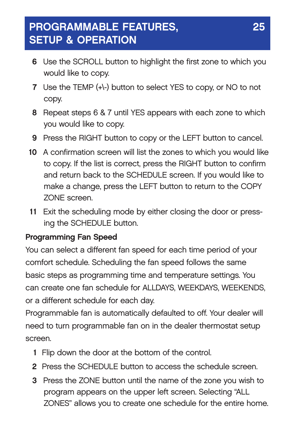### **PROGRAMMABLE FEATURES, 25 SETUP & OPERATION**

- **6** Use the SCROLL button to highlight the first zone to which you would like to copy.
- **7** Use the TEMP (+\-) button to select YES to copy, or NO to not copy.
- **8** Repeat steps 6 & 7 until YES appears with each zone to which you would like to copy.
- **9** Press the RIGHT button to copy or the LEFT button to cancel.
- **10** A confirmation screen will list the zones to which you would like to copy. If the list is correct, press the RIGHT button to confirm and return back to the SCHEDULE screen. If you would like to make a change, press the LEFT button to return to the COPY ZONE screen.
- **11** Exit the scheduling mode by either closing the door or pressing the SCHEDULE button.

### **Programming Fan Speed**

You can select a different fan speed for each time period of your comfort schedule. Scheduling the fan speed follows the same basic steps as programming time and temperature settings. You can create one fan schedule for ALLDAYS, WEEKDAYS, WEEKENDS, or a different schedule for each day.

Programmable fan is automatically defaulted to off. Your dealer will need to turn programmable fan on in the dealer thermostat setup screen.

- **1** Flip down the door at the bottom of the control.
- **2** Press the SCHEDULE button to access the schedule screen.
- **3** Press the ZONE button until the name of the zone you wish to program appears on the upper left screen. Selecting "ALL ZONES" allows you to create one schedule for the entire home.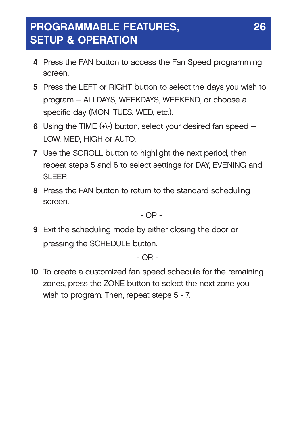### **PROGRAMMABLE FEATURES, 26 SETUP & OPERATION**

- **4** Press the FAN button to access the Fan Speed programming screen.
- **5** Press the LEFT or RIGHT button to select the days you wish to program – ALLDAYS, WEEKDAYS, WEEKEND, or choose a specific day (MON, TUES, WED, etc.).
- **6** Using the TIME (+\-) button, select your desired fan speed LOW, MED, HIGH or AUTO.
- **7** Use the SCROLL button to highlight the next period, then repeat steps 5 and 6 to select settings for DAY, EVENING and SLEEP.
- **8** Press the FAN button to return to the standard scheduling screen.

 $-$  OR  $-$ 

**9** Exit the scheduling mode by either closing the door or pressing the SCHEDULE button.

- OR -

**10** To create a customized fan speed schedule for the remaining zones, press the ZONE button to select the next zone you wish to program. Then, repeat steps 5 - 7.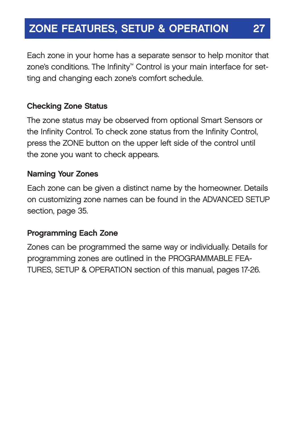### **ZONE FEATURES, SETUP & OPERATION**

Each zone in your home has a separate sensor to help monitor that zone's conditions. The Infinity<sup>™</sup> Control is your main interface for setting and changing each zone's comfort schedule.

#### **Checking Zone Status**

The zone status may be observed from optional Smart Sensors or the Infinity Control. To check zone status from the Infinity Control, press the ZONE button on the upper left side of the control until the zone you want to check appears.

#### **Naming Your Zones**

Each zone can be given a distinct name by the homeowner. Details on customizing zone names can be found in the ADVANCED SETUP section, page 35.

#### **Programming Each Zone**

Zones can be programmed the same way or individually. Details for programming zones are outlined in the PROGRAMMABLE FEA-TURES, SETUP & OPERATION section of this manual, pages 17-26.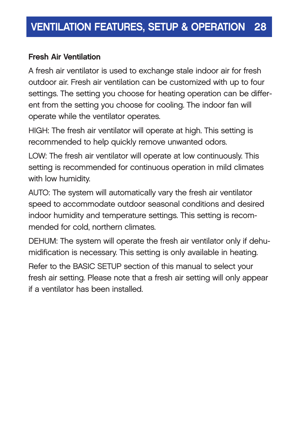#### **Fresh Air Ventilation**

A fresh air ventilator is used to exchange stale indoor air for fresh outdoor air. Fresh air ventilation can be customized with up to four settings. The setting you choose for heating operation can be different from the setting you choose for cooling. The indoor fan will operate while the ventilator operates.

HIGH: The fresh air ventilator will operate at high. This setting is recommended to help quickly remove unwanted odors.

LOW: The fresh air ventilator will operate at low continuously. This setting is recommended for continuous operation in mild climates with low humidity.

AUTO: The system will automatically vary the fresh air ventilator speed to accommodate outdoor seasonal conditions and desired indoor humidity and temperature settings. This setting is recommended for cold, northern climates.

DEHUM: The system will operate the fresh air ventilator only if dehumidification is necessary. This setting is only available in heating.

Refer to the BASIC SETUP section of this manual to select your fresh air setting. Please note that a fresh air setting will only appear if a ventilator has been installed.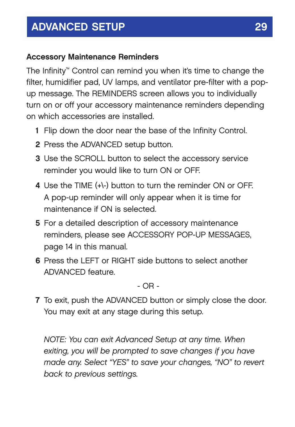#### **Accessory Maintenance Reminders**

The Infinity™ Control can remind you when it's time to change the filter, humidifier pad, UV lamps, and ventilator pre-filter with a popup message. The REMINDERS screen allows you to individually turn on or off your accessory maintenance reminders depending on which accessories are installed.

- **1** Flip down the door near the base of the Infinity Control.
- **2** Press the ADVANCED setup button.
- **3** Use the SCROLL button to select the accessory service reminder you would like to turn ON or OFF.
- **4** Use the TIME (+\-) button to turn the reminder ON or OFF. A pop-up reminder will only appear when it is time for maintenance if ON is selected.
- **5** For a detailed description of accessory maintenance reminders, please see ACCESSORY POP-UP MESSAGES, page 14 in this manual.
- **6** Press the LEFT or RIGHT side buttons to select another ADVANCED feature.

 $-$  OR  $-$ 

**7** To exit, push the ADVANCED button or simply close the door. You may exit at any stage during this setup.

*NOTE: You can exit Advanced Setup at any time. When exiting, you will be prompted to save changes if you have made any. Select "YES" to save your changes, "NO" to revert back to previous settings.*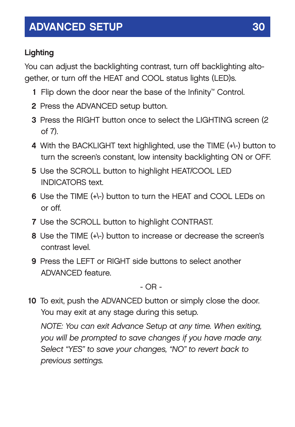### **Lighting**

You can adjust the backlighting contrast, turn off backlighting altogether, or turn off the HEAT and COOL status lights (LED)s.

- **1** Flip down the door near the base of the Infinity™ Control.
- **2** Press the ADVANCED setup button.
- **3** Press the RIGHT button once to select the LIGHTING screen (2 of 7).
- **4** With the BACKLIGHT text highlighted, use the TIME (+\-) button to turn the screen's constant, low intensity backlighting ON or OFF.
- **5** Use the SCROLL button to highlight HEAT/COOL LED INDICATORS text.
- **6** Use the TIME (+\-) button to turn the HEAT and COOL LEDs on or off.
- **7** Use the SCROLL button to highlight CONTRAST.
- **8** Use the TIME (+\-) button to increase or decrease the screen's contrast level.
- **9** Press the LEFT or RIGHT side buttons to select another ADVANCED feature.

- OR -

**10** To exit, push the ADVANCED button or simply close the door. You may exit at any stage during this setup.

*NOTE: You can exit Advance Setup at any time. When exiting, you will be prompted to save changes if you have made any. Select "YES" to save your changes, "NO" to revert back to previous settings.*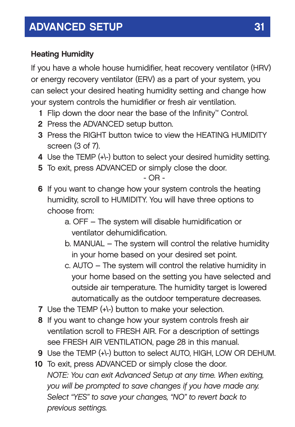### **Heating Humidity**

If you have a whole house humidifier, heat recovery ventilator (HRV) or energy recovery ventilator (ERV) as a part of your system, you can select your desired heating humidity setting and change how your system controls the humidifier or fresh air ventilation.

- **1** Flip down the door near the base of the Infinity™ Control.
- **2** Press the ADVANCED setup button.
- **3** Press the RIGHT button twice to view the HEATING HUMIDITY screen (3 of 7).
- **4** Use the TEMP (+\-) button to select your desired humidity setting.
- **5** To exit, press ADVANCED or simply close the door.

- OR -

- **6** If you want to change how your system controls the heating humidity, scroll to HUMIDITY. You will have three options to choose from:
	- a. OFF The system will disable humidification or ventilator dehumidification.
	- b. MANUAL The system will control the relative humidity in your home based on your desired set point.
	- c. AUTO The system will control the relative humidity in your home based on the setting you have selected and outside air temperature. The humidity target is lowered automatically as the outdoor temperature decreases.
- **7** Use the TEMP (+\-) button to make your selection.
- **8** If you want to change how your system controls fresh air ventilation scroll to FRESH AIR. For a description of settings see FRESH AIR VENTILATION, page 28 in this manual.
- **9** Use the TEMP (+\-) button to select AUTO, HIGH, LOW OR DEHUM.
- **10** To exit, press ADVANCED or simply close the door. *NOTE: You can exit Advanced Setup at any time. When exiting, you will be prompted to save changes if you have made any. Select "YES" to save your changes, "NO" to revert back to previous settings.*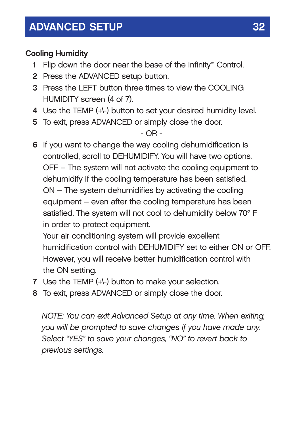### **Cooling Humidity**

- **1** Flip down the door near the base of the Infinity™ Control.
- **2** Press the ADVANCED setup button.
- **3** Press the LEFT button three times to view the COOLING HUMIDITY screen (4 of 7).
- **4** Use the TEMP (+\-) button to set your desired humidity level.
- **5** To exit, press ADVANCED or simply close the door.

- OR -

**6** If you want to change the way cooling dehumidification is controlled, scroll to DEHUMIDIFY. You will have two options. OFF – The system will not activate the cooling equipment to dehumidify if the cooling temperature has been satisfied. ON – The system dehumidifies by activating the cooling equipment – even after the cooling temperature has been satisfied. The system will not cool to dehumidify below 70° F in order to protect equipment.

Your air conditioning system will provide excellent humidification control with DEHUMIDIFY set to either ON or OFF. However, you will receive better humidification control with the ON setting.

- **7** Use the TEMP (+\-) button to make your selection.
- **8** To exit, press ADVANCED or simply close the door.

*NOTE: You can exit Advanced Setup at any time. When exiting, you will be prompted to save changes if you have made any. Select "YES" to save your changes, "NO" to revert back to previous settings.*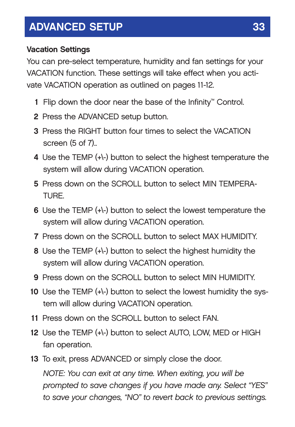#### **Vacation Settings**

You can pre-select temperature, humidity and fan settings for your VACATION function. These settings will take effect when you activate VACATION operation as outlined on pages 11-12.

- **1** Flip down the door near the base of the Infinity™ Control.
- **2** Press the ADVANCED setup button.
- **3** Press the RIGHT button four times to select the VACATION screen (5 of 7)..
- **4** Use the TEMP (+\-) button to select the highest temperature the system will allow during VACATION operation.
- **5** Press down on the SCROLL button to select MIN TEMPERA-TURE.
- **6** Use the TEMP (+\-) button to select the lowest temperature the system will allow during VACATION operation.
- **7** Press down on the SCROLL button to select MAX HUMIDITY.
- **8** Use the TEMP (+\-) button to select the highest humidity the system will allow during VACATION operation.
- **9** Press down on the SCROLL button to select MIN HUMIDITY.
- **10** Use the TEMP (+\-) button to select the lowest humidity the system will allow during VACATION operation.
- **11** Press down on the SCROLL button to select FAN.
- **12** Use the TEMP (+\-) button to select AUTO, LOW, MED or HIGH fan operation.
- **13** To exit, press ADVANCED or simply close the door.

*NOTE: You can exit at any time. When exiting, you will be prompted to save changes if you have made any. Select "YES" to save your changes, "NO" to revert back to previous settings.*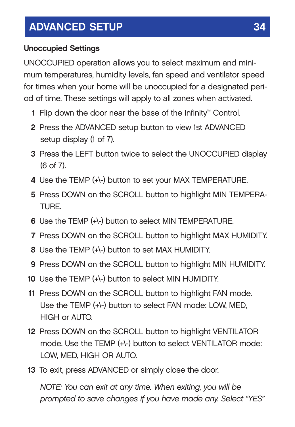### **Unoccupied Settings**

UNOCCUPIED operation allows you to select maximum and minimum temperatures, humidity levels, fan speed and ventilator speed for times when your home will be unoccupied for a designated period of time. These settings will apply to all zones when activated.

- **1** Flip down the door near the base of the Infinity™ Control.
- **2** Press the ADVANCED setup button to view 1st ADVANCED setup display (1 of 7).
- **3** Press the LEFT button twice to select the UNOCCUPIED display (6 of 7).
- **4** Use the TEMP (+\-) button to set your MAX TEMPERATURE.
- **5** Press DOWN on the SCROLL button to highlight MIN TEMPERA-TURE.
- **6** Use the TEMP (+\-) button to select MIN TEMPERATURE.
- **7** Press DOWN on the SCROLL button to highlight MAX HUMIDITY.
- **8** Use the TEMP (+\-) button to set MAX HUMIDITY.
- **9** Press DOWN on the SCROLL button to highlight MIN HUMIDITY.
- **10** Use the TEMP (+\-) button to select MIN HUMIDITY.
- **11** Press DOWN on the SCROLL button to highlight FAN mode. Use the TEMP (+\-) button to select FAN mode: LOW, MED, HIGH or AUTO.
- **12** Press DOWN on the SCROLL button to highlight VENTILATOR mode. Use the TEMP (+\-) button to select VENTILATOR mode: LOW, MED, HIGH OR AUTO.
- **13** To exit, press ADVANCED or simply close the door.

*NOTE: You can exit at any time. When exiting, you will be prompted to save changes if you have made any. Select "YES"*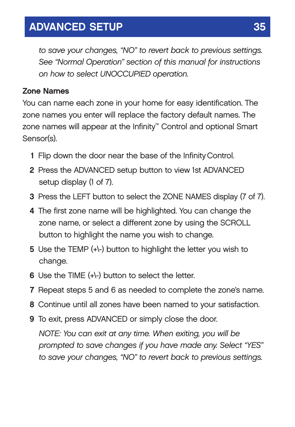*to save your changes, "NO" to revert back to previous settings. See "Normal Operation" section of this manual for instructions on how to select UNOCCUPIED operation.*

#### **Zone Names**

You can name each zone in your home for easy identification. The zone names you enter will replace the factory default names. The zone names will appear at the Infinity™ Control and optional Smart Sensor(s).

- **1** Flip down the door near the base of the InfinityControl.
- **2** Press the ADVANCED setup button to view 1st ADVANCED setup display (1 of 7).
- **3** Press the LEFT button to select the ZONE NAMES display (7 of 7).
- **4** The first zone name will be highlighted. You can change the zone name, or select a different zone by using the SCROLL button to highlight the name you wish to change.
- **5** Use the TEMP (+\-) button to highlight the letter you wish to change.
- **6** Use the TIME (+\-) button to select the letter.
- **7** Repeat steps 5 and 6 as needed to complete the zone's name.
- **8** Continue until all zones have been named to your satisfaction.
- **9** To exit, press ADVANCED or simply close the door. *NOTE: You can exit at any time. When exiting, you will be prompted to save changes if you have made any. Select "YES" to save your changes, "NO" to revert back to previous settings.*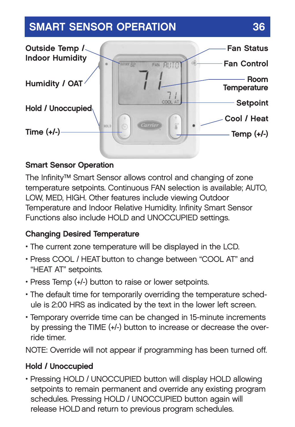## **SMART SENSOR OPERATION 36**



### **Smart Sensor Operation**

The Infinity™ Smart Sensor allows control and changing of zone temperature setpoints. Continuous FAN selection is available; AUTO, LOW, MED, HIGH. Other features include viewing Outdoor Temperature and Indoor Relative Humidity. Infinity Smart Sensor Functions also include HOLD and UNOCCUPIED settings.

#### **Changing Desired Temperature**

- The current zone temperature will be displayed in the LCD.
- Press COOL / HEAT button to change between "COOL AT" and "HEAT AT" setpoints.
- Press Temp (+/-) button to raise or lower setpoints.
- The default time for temporarily overriding the temperature schedule is 2:00 HRS as indicated by the text in the lower left screen.
- Temporary override time can be changed in 15-minute increments by pressing the TIME (+/-) button to increase or decrease the override timer.

NOTE: Override will not appear if programming has been turned off.

### **Hold / Unoccupied**

• Pressing HOLD / UNOCCUPIED button will display HOLD allowing setpoints to remain permanent and override any existing program schedules. Pressing HOLD / UNOCCUPIED button again will release HOLDand return to previous program schedules.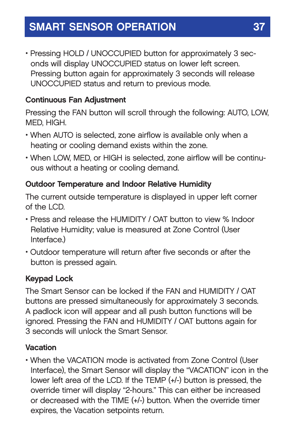### **SMART SENSOR OPERATION 37**

• Pressing HOLD / UNOCCUPIED button for approximately 3 seconds will display UNOCCUPIED status on lower left screen. Pressing button again for approximately 3 seconds will release UNOCCUPIED status and return to previous mode.

#### **Continuous Fan Adjustment**

Pressing the FAN button will scroll through the following: AUTO, LOW, MED, HIGH.

- When AUTO is selected, zone airflow is available only when a heating or cooling demand exists within the zone.
- When LOW, MED, or HIGH is selected, zone airflow will be continuous without a heating or cooling demand.

#### **Outdoor Temperature and Indoor Relative Humidity**

The current outside temperature is displayed in upper left corner of the LCD.

- Press and release the HUMIDITY / OAT button to view % Indoor Relative Humidity; value is measured at Zone Control (User Interface.)
- Outdoor temperature will return after five seconds or after the button is pressed again.

#### **Keypad Lock**

The Smart Sensor can be locked if the FAN and HUMIDITY / OAT buttons are pressed simultaneously for approximately 3 seconds. A padlock icon will appear and all push button functions will be ignored. Pressing the FAN and HUMIDITY / OAT buttons again for 3 seconds will unlock the Smart Sensor.

#### **Vacation**

• When the VACATION mode is activated from Zone Control (User Interface), the Smart Sensor will display the "VACATION" icon in the lower left area of the LCD. If the TEMP (+/-) button is pressed, the override timer will display "2-hours." This can either be increased or decreased with the TIME (+/-) button. When the override timer expires, the Vacation setpoints return.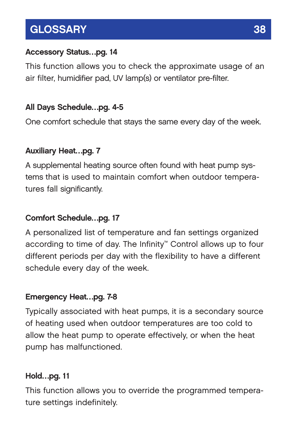## **GLOSSARY 38**

### **Accessory Status…pg. 14**

This function allows you to check the approximate usage of an air filter, humidifier pad, UV lamp(s) or ventilator pre-filter.

### **All Days Schedule…pg. 4-5**

One comfort schedule that stays the same every day of the week.

### **Auxiliary Heat…pg. 7**

A supplemental heating source often found with heat pump systems that is used to maintain comfort when outdoor temperatures fall significantly.

### **Comfort Schedule…pg. 17**

A personalized list of temperature and fan settings organized according to time of day. The Infinity™ Control allows up to four different periods per day with the flexibility to have a different schedule every day of the week.

### **Emergency Heat…pg. 7-8**

Typically associated with heat pumps, it is a secondary source of heating used when outdoor temperatures are too cold to allow the heat pump to operate effectively, or when the heat pump has malfunctioned.

### **Hold…pg. 11**

This function allows you to override the programmed temperature settings indefinitely.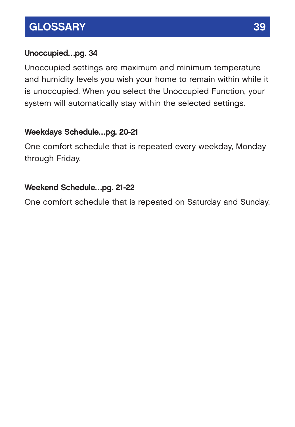### **GLOSSARY** 39

### **Unoccupied…pg. 34**

Unoccupied settings are maximum and minimum temperature and humidity levels you wish your home to remain within while it is unoccupied. When you select the Unoccupied Function, your system will automatically stay within the selected settings.

### **Weekdays Schedule…pg. 20-21**

One comfort schedule that is repeated every weekday, Monday through Friday.

### **Weekend Schedule…pg. 21-22**

One comfort schedule that is repeated on Saturday and Sunday.